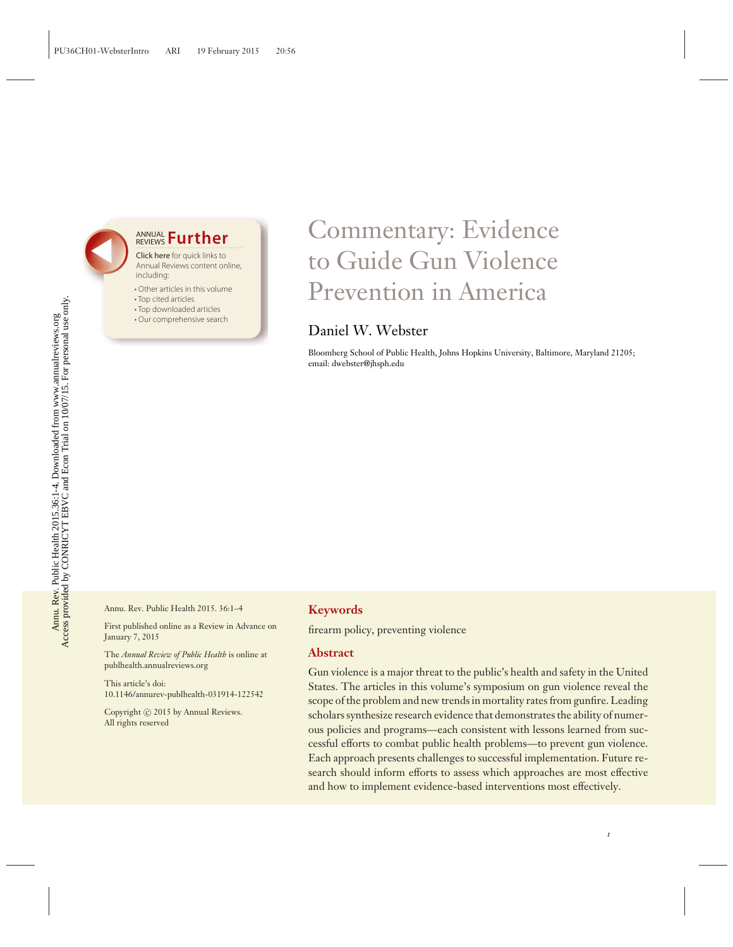# **ANNUAL Further**

Click here for quick links to Annual Reviews content online, including:

- Other articles in this volume
- Top cited articles
- Top downloaded articles
- Our comprehensive search

# Commentary: Evidence to Guide Gun Violence Prevention in America

## Daniel W. Webster

Bloomberg School of Public Health, Johns Hopkins University, Baltimore, Maryland 21205; email: dwebster@jhsph.edu

Annu. Rev. Public Health 2015. 36:1–4

First published online as a Review in Advance on January 7, 2015

The *Annual Review of Public Health* is online at publhealth.annualreviews.org

This article's doi: 10.1146/annurev-publhealth-031914-122542

Copyright © 2015 by Annual Reviews. All rights reserved

#### **Keywords**

firearm policy, preventing violence

#### **Abstract**

Gun violence is a major threat to the public's health and safety in the United States. The articles in this volume's symposium on gun violence reveal the scope of the problem and new trends in mortality rates from gunfire. Leading scholars synthesize research evidence that demonstrates the ability of numerous policies and programs—each consistent with lessons learned from successful efforts to combat public health problems—to prevent gun violence. Each approach presents challenges to successful implementation. Future research should inform efforts to assess which approaches are most effective and how to implement evidence-based interventions most effectively.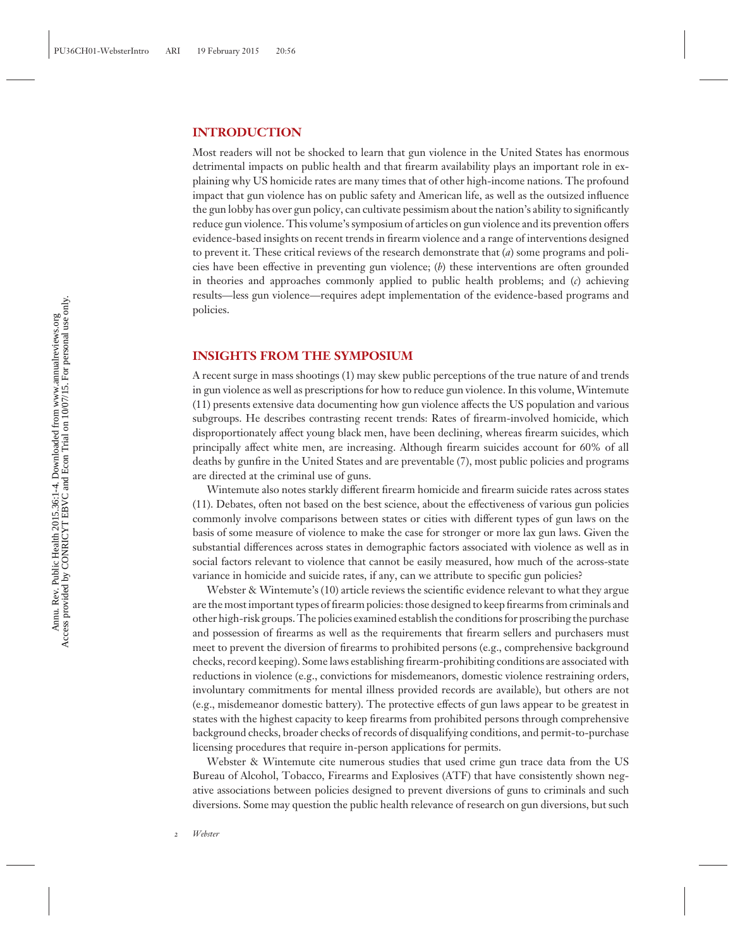#### **INTRODUCTION**

Most readers will not be shocked to learn that gun violence in the United States has enormous detrimental impacts on public health and that firearm availability plays an important role in explaining why US homicide rates are many times that of other high-income nations. The profound impact that gun violence has on public safety and American life, as well as the outsized influence the gun lobby has over gun policy, can cultivate pessimism about the nation's ability to significantly reduce gun violence. This volume's symposium of articles on gun violence and its prevention offers evidence-based insights on recent trends in firearm violence and a range of interventions designed to prevent it. These critical reviews of the research demonstrate that (*a*) some programs and policies have been effective in preventing gun violence; (*b*) these interventions are often grounded in theories and approaches commonly applied to public health problems; and (*c*) achieving results—less gun violence—requires adept implementation of the evidence-based programs and policies.

#### **INSIGHTS FROM THE SYMPOSIUM**

A recent surge in mass shootings (1) may skew public perceptions of the true nature of and trends in gun violence as well as prescriptions for how to reduce gun violence. In this volume, Wintemute (11) presents extensive data documenting how gun violence affects the US population and various subgroups. He describes contrasting recent trends: Rates of firearm-involved homicide, which disproportionately affect young black men, have been declining, whereas firearm suicides, which principally affect white men, are increasing. Although firearm suicides account for 60% of all deaths by gunfire in the United States and are preventable (7), most public policies and programs are directed at the criminal use of guns.

Wintemute also notes starkly different firearm homicide and firearm suicide rates across states (11). Debates, often not based on the best science, about the effectiveness of various gun policies commonly involve comparisons between states or cities with different types of gun laws on the basis of some measure of violence to make the case for stronger or more lax gun laws. Given the substantial differences across states in demographic factors associated with violence as well as in social factors relevant to violence that cannot be easily measured, how much of the across-state variance in homicide and suicide rates, if any, can we attribute to specific gun policies?

Webster & Wintemute's (10) article reviews the scientific evidence relevant to what they argue are the most important types of firearm policies: those designed to keep firearms from criminals and other high-risk groups. The policies examined establish the conditions for proscribing the purchase and possession of firearms as well as the requirements that firearm sellers and purchasers must meet to prevent the diversion of firearms to prohibited persons (e.g., comprehensive background checks, record keeping). Some laws establishing firearm-prohibiting conditions are associated with reductions in violence (e.g., convictions for misdemeanors, domestic violence restraining orders, involuntary commitments for mental illness provided records are available), but others are not (e.g., misdemeanor domestic battery). The protective effects of gun laws appear to be greatest in states with the highest capacity to keep firearms from prohibited persons through comprehensive background checks, broader checks of records of disqualifying conditions, and permit-to-purchase licensing procedures that require in-person applications for permits.

Webster & Wintemute cite numerous studies that used crime gun trace data from the US Bureau of Alcohol, Tobacco, Firearms and Explosives (ATF) that have consistently shown negative associations between policies designed to prevent diversions of guns to criminals and such diversions. Some may question the public health relevance of research on gun diversions, but such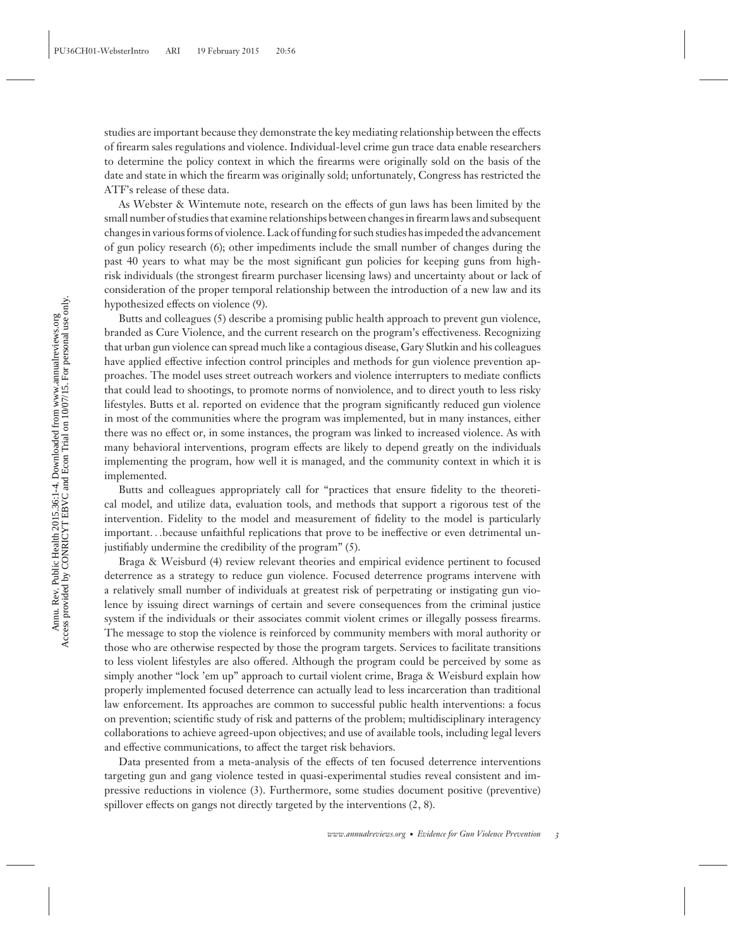studies are important because they demonstrate the key mediating relationship between the effects of firearm sales regulations and violence. Individual-level crime gun trace data enable researchers to determine the policy context in which the firearms were originally sold on the basis of the date and state in which the firearm was originally sold; unfortunately, Congress has restricted the ATF's release of these data.

As Webster & Wintemute note, research on the effects of gun laws has been limited by the small number of studies that examine relationships between changes in firearm laws and subsequent changes in various forms of violence. Lack of funding for such studies has impeded the advancement of gun policy research (6); other impediments include the small number of changes during the past 40 years to what may be the most significant gun policies for keeping guns from highrisk individuals (the strongest firearm purchaser licensing laws) and uncertainty about or lack of consideration of the proper temporal relationship between the introduction of a new law and its hypothesized effects on violence (9).

Butts and colleagues (5) describe a promising public health approach to prevent gun violence, branded as Cure Violence, and the current research on the program's effectiveness. Recognizing that urban gun violence can spread much like a contagious disease, Gary Slutkin and his colleagues have applied effective infection control principles and methods for gun violence prevention approaches. The model uses street outreach workers and violence interrupters to mediate conflicts that could lead to shootings, to promote norms of nonviolence, and to direct youth to less risky lifestyles. Butts et al. reported on evidence that the program significantly reduced gun violence in most of the communities where the program was implemented, but in many instances, either there was no effect or, in some instances, the program was linked to increased violence. As with many behavioral interventions, program effects are likely to depend greatly on the individuals implementing the program, how well it is managed, and the community context in which it is implemented.

Butts and colleagues appropriately call for "practices that ensure fidelity to the theoretical model, and utilize data, evaluation tools, and methods that support a rigorous test of the intervention. Fidelity to the model and measurement of fidelity to the model is particularly important...because unfaithful replications that prove to be ineffective or even detrimental unjustifiably undermine the credibility of the program" (5).

Braga & Weisburd (4) review relevant theories and empirical evidence pertinent to focused deterrence as a strategy to reduce gun violence. Focused deterrence programs intervene with a relatively small number of individuals at greatest risk of perpetrating or instigating gun violence by issuing direct warnings of certain and severe consequences from the criminal justice system if the individuals or their associates commit violent crimes or illegally possess firearms. The message to stop the violence is reinforced by community members with moral authority or those who are otherwise respected by those the program targets. Services to facilitate transitions to less violent lifestyles are also offered. Although the program could be perceived by some as simply another "lock 'em up" approach to curtail violent crime, Braga & Weisburd explain how properly implemented focused deterrence can actually lead to less incarceration than traditional law enforcement. Its approaches are common to successful public health interventions: a focus on prevention; scientific study of risk and patterns of the problem; multidisciplinary interagency collaborations to achieve agreed-upon objectives; and use of available tools, including legal levers and effective communications, to affect the target risk behaviors.

Data presented from a meta-analysis of the effects of ten focused deterrence interventions targeting gun and gang violence tested in quasi-experimental studies reveal consistent and impressive reductions in violence (3). Furthermore, some studies document positive (preventive) spillover effects on gangs not directly targeted by the interventions (2, 8).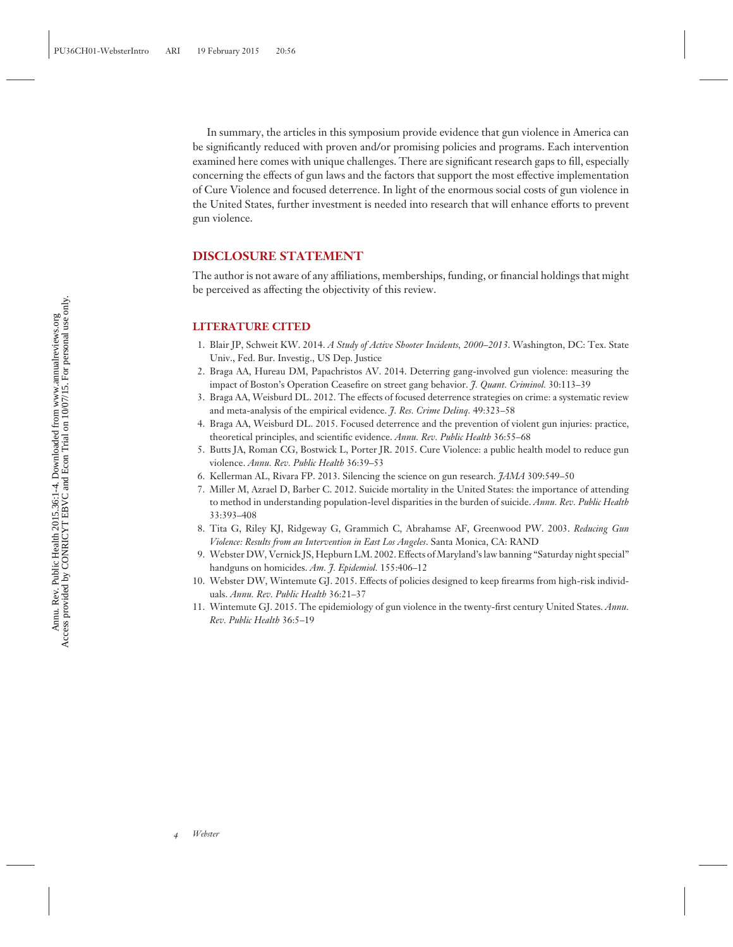In summary, the articles in this symposium provide evidence that gun violence in America can be significantly reduced with proven and/or promising policies and programs. Each intervention examined here comes with unique challenges. There are significant research gaps to fill, especially concerning the effects of gun laws and the factors that support the most effective implementation of Cure Violence and focused deterrence. In light of the enormous social costs of gun violence in the United States, further investment is needed into research that will enhance efforts to prevent gun violence.

#### **DISCLOSURE STATEMENT**

The author is not aware of any affiliations, memberships, funding, or financial holdings that might be perceived as affecting the objectivity of this review.

#### **LITERATURE CITED**

- 1. Blair JP, Schweit KW. 2014. *A Study of Active Shooter Incidents, 2000–2013*. Washington, DC: Tex. State Univ., Fed. Bur. Investig., US Dep. Justice
- 2. Braga AA, Hureau DM, Papachristos AV. 2014. Deterring gang-involved gun violence: measuring the impact of Boston's Operation Ceasefire on street gang behavior. *J. Quant. Criminol.* 30:113–39
- 3. Braga AA, Weisburd DL. 2012. The effects of focused deterrence strategies on crime: a systematic review and meta-analysis of the empirical evidence. *J. Res. Crime Delinq.* 49:323–58
- 4. Braga AA, Weisburd DL. 2015. Focused deterrence and the prevention of violent gun injuries: practice, theoretical principles, and scientific evidence. *Annu. Rev. Public Health* 36:55–68
- 5. Butts JA, Roman CG, Bostwick L, Porter JR. 2015. Cure Violence: a public health model to reduce gun violence. *Annu. Rev. Public Health* 36:39–53
- 6. Kellerman AL, Rivara FP. 2013. Silencing the science on gun research. *JAMA* 309:549–50
- 7. Miller M, Azrael D, Barber C. 2012. Suicide mortality in the United States: the importance of attending to method in understanding population-level disparities in the burden of suicide. *Annu. Rev. Public Health* 33:393–408
- 8. Tita G, Riley KJ, Ridgeway G, Grammich C, Abrahamse AF, Greenwood PW. 2003. *Reducing Gun Violence: Results from an Intervention in East Los Angeles*. Santa Monica, CA: RAND
- 9. Webster DW, Vernick JS, Hepburn LM. 2002. Effects of Maryland's law banning "Saturday night special" handguns on homicides. Am. 7. Epidemiol. 155:406-12
- 10. Webster DW, Wintemute GJ. 2015. Effects of policies designed to keep firearms from high-risk individuals. *Annu. Rev. Public Health* 36:21–37
- 11. Wintemute GJ. 2015. The epidemiology of gun violence in the twenty-first century United States. *Annu. Rev. Public Health* 36:5–19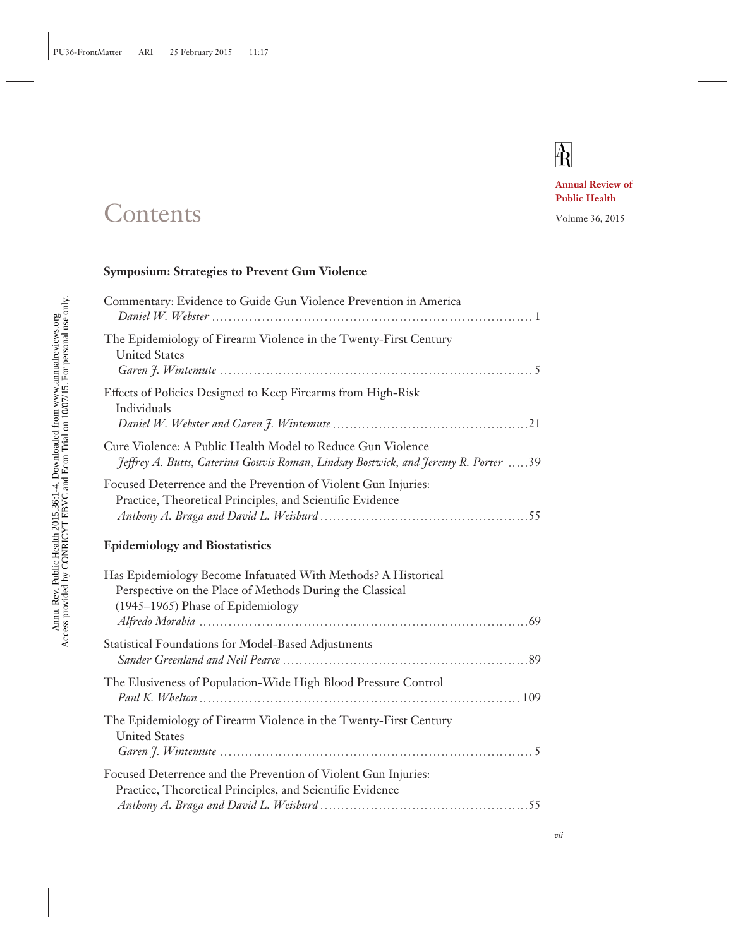# A

**Annual Review of Public Health**

# Contents Volume 36, 2015

## **Symposium: Strategies to Prevent Gun Violence**

| Commentary: Evidence to Guide Gun Violence Prevention in America                                                                                  |
|---------------------------------------------------------------------------------------------------------------------------------------------------|
| The Epidemiology of Firearm Violence in the Twenty-First Century<br><b>United States</b>                                                          |
| Effects of Policies Designed to Keep Firearms from High-Risk<br>Individuals                                                                       |
| Cure Violence: A Public Health Model to Reduce Gun Violence<br>Jeffrey A. Butts, Caterina Gouvis Roman, Lindsay Bostwick, and Jeremy R. Porter 39 |
| Focused Deterrence and the Prevention of Violent Gun Injuries:<br>Practice, Theoretical Principles, and Scientific Evidence                       |
| <b>Epidemiology and Biostatistics</b>                                                                                                             |
| Has Epidemiology Become Infatuated With Methods? A Historical<br>Perspective on the Place of Methods During the Classical                         |
| (1945–1965) Phase of Epidemiology                                                                                                                 |
| Statistical Foundations for Model-Based Adjustments                                                                                               |
| The Elusiveness of Population-Wide High Blood Pressure Control                                                                                    |
| The Epidemiology of Firearm Violence in the Twenty-First Century<br><b>United States</b>                                                          |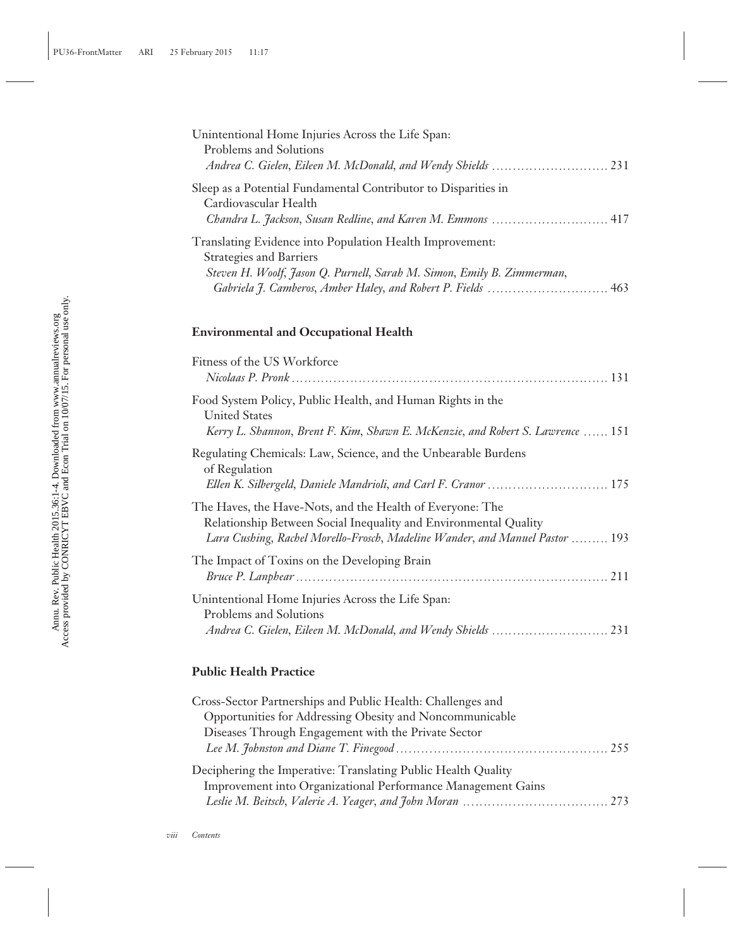| Unintentional Home Injuries Across the Life Span:                      |
|------------------------------------------------------------------------|
| Problems and Solutions                                                 |
|                                                                        |
| Sleep as a Potential Fundamental Contributor to Disparities in         |
| Cardiovascular Health                                                  |
|                                                                        |
| Translating Evidence into Population Health Improvement:               |
| <b>Strategies and Barriers</b>                                         |
| Steven H. Woolf, Jason Q. Purnell, Sarah M. Simon, Emily B. Zimmerman, |
|                                                                        |

### **Environmental and Occupational Health**

| Fitness of the US Workforce                                                                                                                                                                                   |
|---------------------------------------------------------------------------------------------------------------------------------------------------------------------------------------------------------------|
| Food System Policy, Public Health, and Human Rights in the<br><b>United States</b><br>Kerry L. Shannon, Brent F. Kim, Shawn E. McKenzie, and Robert S. Lawrence  151                                          |
| Regulating Chemicals: Law, Science, and the Unbearable Burdens<br>of Regulation<br>Ellen K. Silbergeld, Daniele Mandrioli, and Carl F. Cranor  175                                                            |
| The Haves, the Have-Nots, and the Health of Everyone: The<br>Relationship Between Social Inequality and Environmental Quality<br>Lara Cushing, Rachel Morello-Frosch, Madeline Wander, and Manuel Pastor  193 |
| The Impact of Toxins on the Developing Brain                                                                                                                                                                  |
| Unintentional Home Injuries Across the Life Span:<br>Problems and Solutions                                                                                                                                   |

## **Public Health Practice**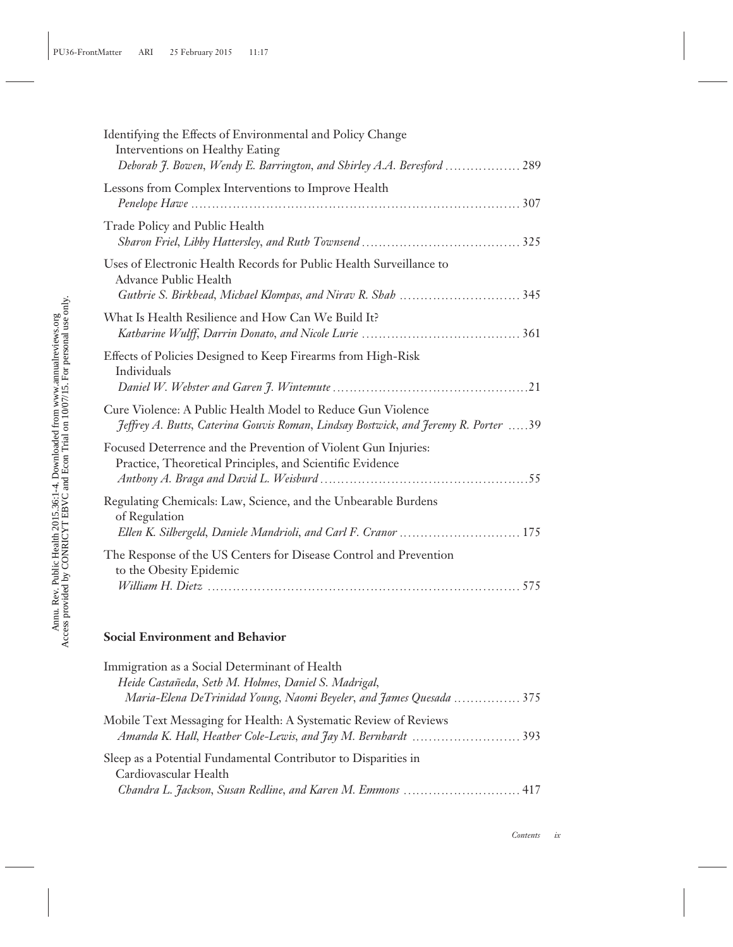| Identifying the Effects of Environmental and Policy Change<br>Interventions on Healthy Eating<br>Deborah J. Bowen, Wendy E. Barrington, and Shirley A.A. Beresford  289 |
|-------------------------------------------------------------------------------------------------------------------------------------------------------------------------|
| Lessons from Complex Interventions to Improve Health                                                                                                                    |
| Trade Policy and Public Health                                                                                                                                          |
| Uses of Electronic Health Records for Public Health Surveillance to<br><b>Advance Public Health</b>                                                                     |
| What Is Health Resilience and How Can We Build It?                                                                                                                      |
| Effects of Policies Designed to Keep Firearms from High-Risk<br>Individuals                                                                                             |
| Cure Violence: A Public Health Model to Reduce Gun Violence<br>Jeffrey A. Butts, Caterina Gouvis Roman, Lindsay Bostwick, and Jeremy R. Porter 39                       |
| Focused Deterrence and the Prevention of Violent Gun Injuries:<br>Practice, Theoretical Principles, and Scientific Evidence                                             |
| Regulating Chemicals: Law, Science, and the Unbearable Burdens<br>of Regulation<br>Ellen K. Silbergeld, Daniele Mandrioli, and Carl F. Cranor  175                      |
| The Response of the US Centers for Disease Control and Prevention<br>to the Obesity Epidemic                                                                            |
|                                                                                                                                                                         |

## **Social Environment and Behavior**

| Immigration as a Social Determinant of Health                                                                                                          |
|--------------------------------------------------------------------------------------------------------------------------------------------------------|
| Heide Castañeda, Seth M. Holmes, Daniel S. Madrigal,                                                                                                   |
| Maria-Elena DeTrinidad Young, Naomi Beyeler, and James Quesada  375                                                                                    |
| Mobile Text Messaging for Health: A Systematic Review of Reviews                                                                                       |
| Sleep as a Potential Fundamental Contributor to Disparities in<br>Cardiovascular Health<br>Chandra L. Jackson, Susan Redline, and Karen M. Emmons  417 |

*Contents ix*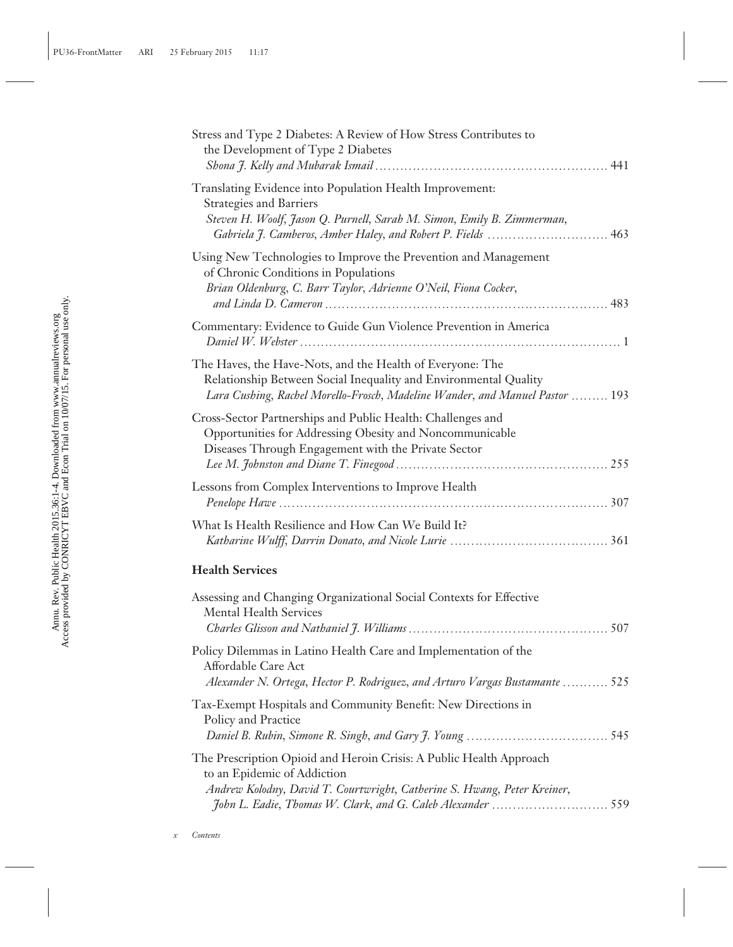| Stress and Type 2 Diabetes: A Review of How Stress Contributes to<br>the Development of Type 2 Diabetes                                                                                                                              |
|--------------------------------------------------------------------------------------------------------------------------------------------------------------------------------------------------------------------------------------|
| Translating Evidence into Population Health Improvement:<br><b>Strategies and Barriers</b><br>Steven H. Woolf, Jason Q. Purnell, Sarah M. Simon, Emily B. Zimmerman,<br>Gabriela J. Camberos, Amber Haley, and Robert P. Fields  463 |
| Using New Technologies to Improve the Prevention and Management<br>of Chronic Conditions in Populations<br>Brian Oldenburg, C. Barr Taylor, Adrienne O'Neil, Fiona Cocker,                                                           |
| Commentary: Evidence to Guide Gun Violence Prevention in America                                                                                                                                                                     |
| The Haves, the Have-Nots, and the Health of Everyone: The<br>Relationship Between Social Inequality and Environmental Quality<br>Lara Cushing, Rachel Morello-Frosch, Madeline Wander, and Manuel Pastor  193                        |
| Cross-Sector Partnerships and Public Health: Challenges and<br>Opportunities for Addressing Obesity and Noncommunicable<br>Diseases Through Engagement with the Private Sector                                                       |
| Lessons from Complex Interventions to Improve Health                                                                                                                                                                                 |
| What Is Health Resilience and How Can We Build It?                                                                                                                                                                                   |
| <b>Health Services</b>                                                                                                                                                                                                               |
| Assessing and Changing Organizational Social Contexts for Effective<br><b>Mental Health Services</b>                                                                                                                                 |
| Policy Dilemmas in Latino Health Care and Implementation of the<br>Affordable Care Act<br>Alexander N. Ortega, Hector P. Rodriguez, and Arturo Vargas Bustamante  525                                                                |
| Tax-Exempt Hospitals and Community Benefit: New Directions in<br>Policy and Practice                                                                                                                                                 |
| The Prescription Opioid and Heroin Crisis: A Public Health Approach<br>to an Epidemic of Addiction<br>Andrew Kolodny, David T. Courtwright, Catherine S. Hwang, Peter Kreiner,                                                       |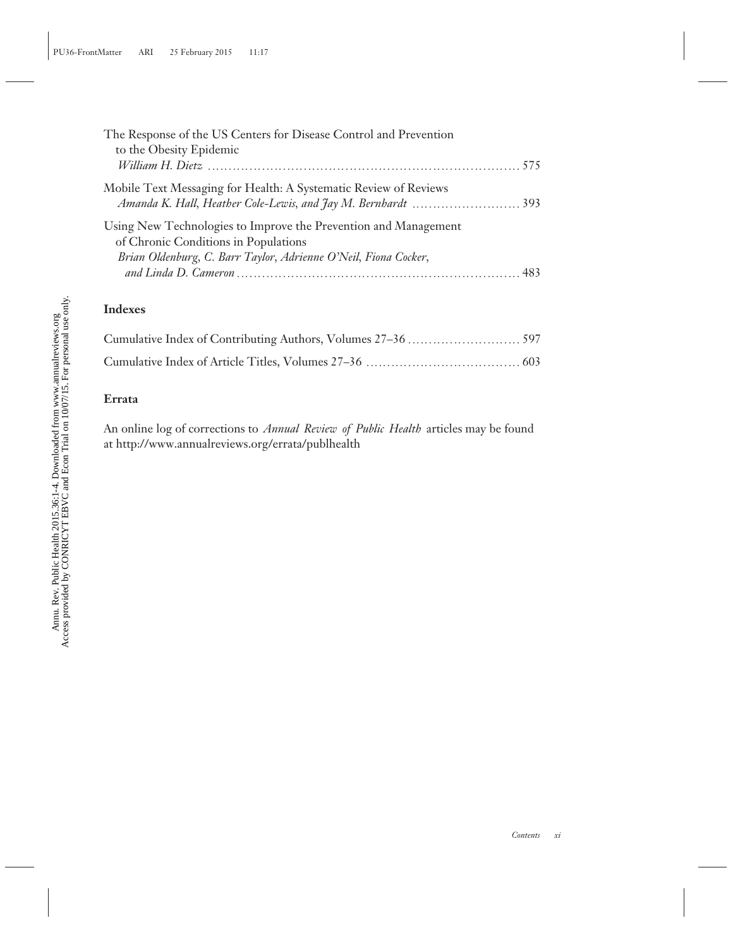| The Response of the US Centers for Disease Control and Prevention<br>to the Obesity Epidemic |  |
|----------------------------------------------------------------------------------------------|--|
|                                                                                              |  |
| Mobile Text Messaging for Health: A Systematic Review of Reviews                             |  |
|                                                                                              |  |
| Using New Technologies to Improve the Prevention and Management                              |  |
| of Chronic Conditions in Populations                                                         |  |
| Brian Oldenburg, C. Barr Taylor, Adrienne O'Neil, Fiona Cocker,                              |  |
|                                                                                              |  |
|                                                                                              |  |

### **Indexes**

## **Errata**

An online log of corrections to *Annual Review of Public Health* articles may be found at http://www.annualreviews.org/errata/publhealth